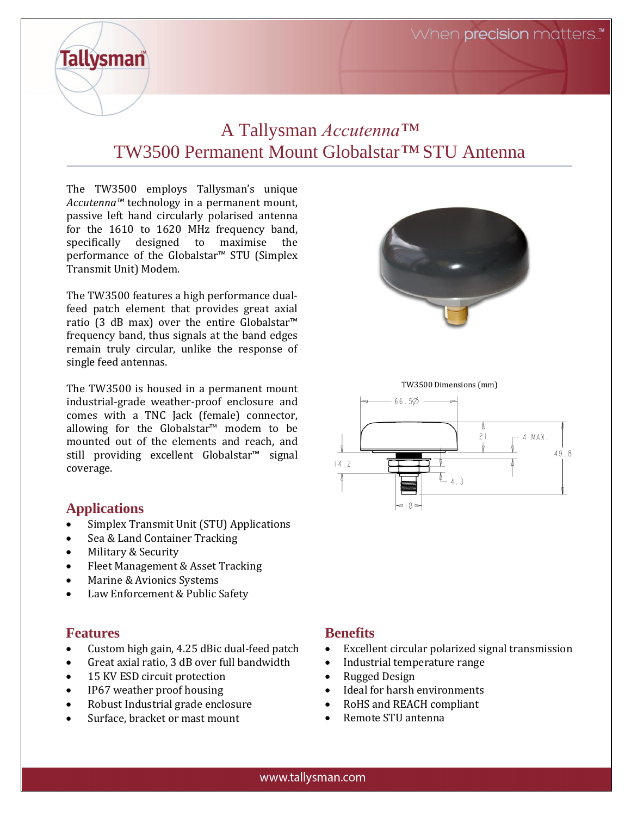When **precision** matters.."

# A Tallysman *Accutenna™* TW3500 Permanent Mount Globalstar*™* STU Antenna

The TW3500 employs Tallysman's unique *Accutenna™* technology in a permanent mount, passive left hand circularly polarised antenna for the 1610 to 1620 MHz frequency band, specifically designed to maximise the performance of the Globalstar™ STU (Simplex Transmit Unit) Modem.

The TW3500 features a high performance dualfeed patch element that provides great axial ratio (3 dB max) over the entire Globalstar™ frequency band, thus signals at the band edges remain truly circular, unlike the response of single feed antennas.

The TW3500 is housed in a permanent mount industrial-grade weather-proof enclosure and comes with a TNC Jack (female) connector, allowing for the Globalstar™ modem to be mounted out of the elements and reach, and still providing excellent Globalstar<sup>™</sup> signal coverage.

#### **Applications**

**Tallysman** 

- Simplex Transmit Unit (STU) Applications
- Sea & Land Container Tracking
- Military & Security
- Fleet Management & Asset Tracking
- Marine & Avionics Systems
- Law Enforcement & Public Safety

#### **Features**

- Custom high gain, 4.25 dBic dual-feed patch
- Great axial ratio, 3 dB over full bandwidth
- 15 KV ESD circuit protection
- IP67 weather proof housing
- Robust Industrial grade enclosure
- Surface, bracket or mast mount







#### **Benefits**

- Excellent circular polarized signal transmission
- Industrial temperature range
- Rugged Design
- Ideal for harsh environments
- RoHS and REACH compliant
- Remote STU antenna